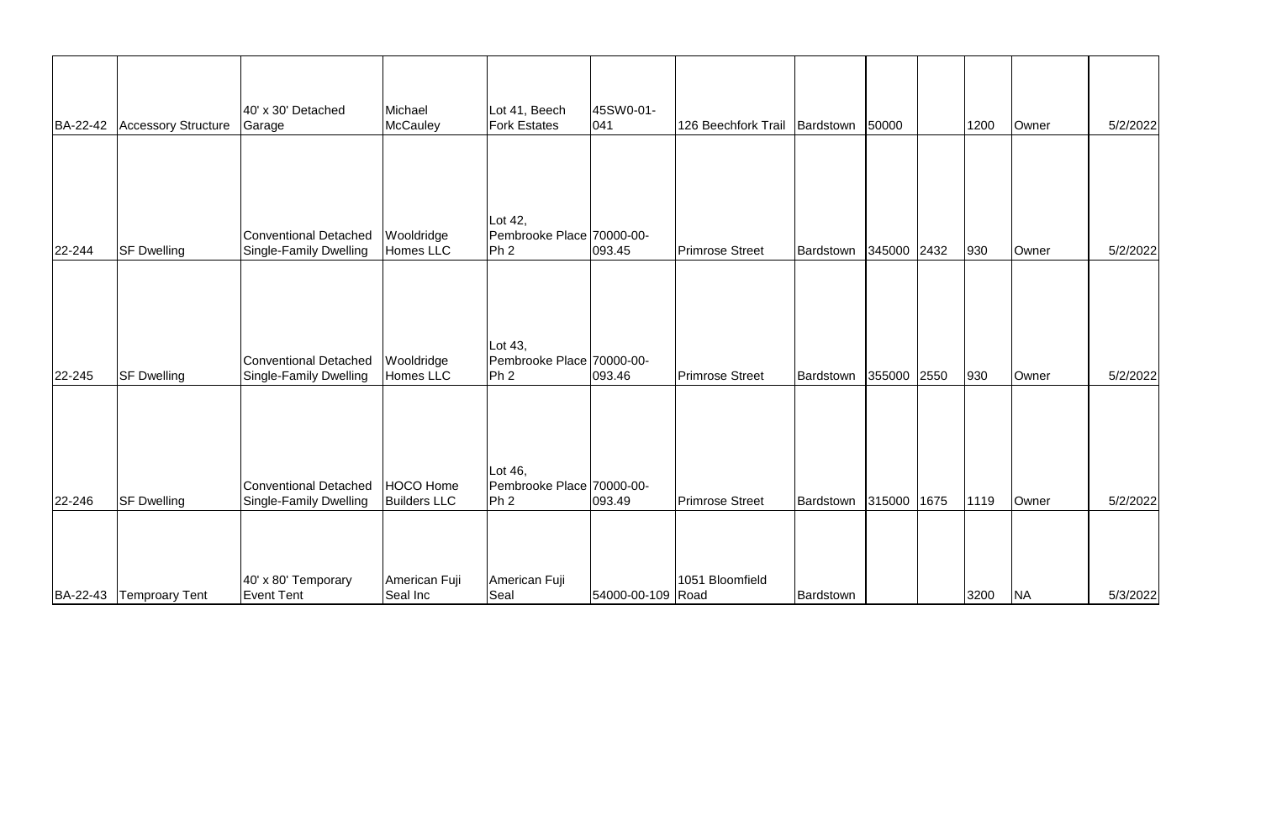| BA-22-42 | <b>Accessory Structure</b> | 40' x 30' Detached<br>Garage                    | Michael<br>McCauley              | Lot 41, Beech<br><b>Fork Estates</b>                    | 45SW0-01-<br>$ 041\rangle$ | 126 Beechfork Trail    | Bardstown | 50000       |      | 1200 | Owner     | 5/2/2022 |
|----------|----------------------------|-------------------------------------------------|----------------------------------|---------------------------------------------------------|----------------------------|------------------------|-----------|-------------|------|------|-----------|----------|
|          |                            |                                                 |                                  |                                                         |                            |                        |           |             |      |      |           |          |
| 22-244   | <b>SF Dwelling</b>         | Conventional Detached<br>Single-Family Dwelling | Wooldridge<br>Homes LLC          | Lot 42,<br>Pembrooke Place 70000-00-<br>Ph <sub>2</sub> | 093.45                     | <b>Primrose Street</b> | Bardstown | 345000 2432 |      | 930  | Owner     | 5/2/2022 |
|          |                            |                                                 |                                  |                                                         |                            |                        |           |             |      |      |           |          |
| 22-245   | <b>SF Dwelling</b>         | Conventional Detached<br>Single-Family Dwelling | Wooldridge<br>Homes LLC          | Lot 43,<br>Pembrooke Place 70000-00-<br>Ph <sub>2</sub> | 093.46                     | <b>Primrose Street</b> | Bardstown | 355000      | 2550 | 930  | Owner     | 5/2/2022 |
|          |                            |                                                 |                                  | Lot 46,                                                 |                            |                        |           |             |      |      |           |          |
| 22-246   | <b>SF Dwelling</b>         | Conventional Detached<br>Single-Family Dwelling | HOCO Home<br><b>Builders LLC</b> | Pembrooke Place 70000-00-<br>Ph <sub>2</sub>            | 093.49                     | <b>Primrose Street</b> | Bardstown | 315000      | 1675 | 1119 | Owner     | 5/2/2022 |
| BA-22-43 | <b>Temproary Tent</b>      | 40' x 80' Temporary<br>Event Tent               | American Fuji<br>Seal Inc        | American Fuji<br>Seal                                   | 54000-00-109 Road          | 1051 Bloomfield        | Bardstown |             |      | 3200 | <b>NA</b> | 5/3/2022 |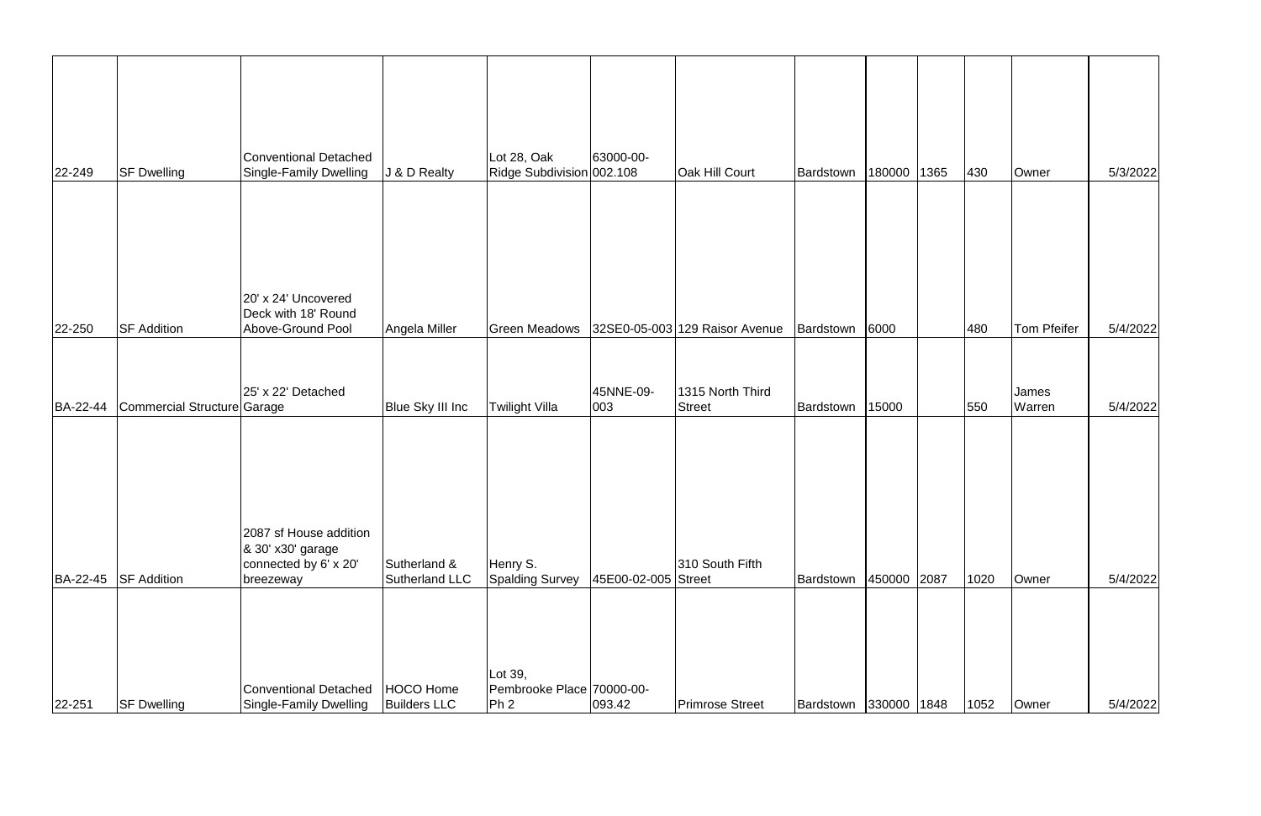| $ 22 - 249 $ | <b>SF Dwelling</b>          | Conventional Detached<br>Single-Family Dwelling                                   | J & D Realty                     | Lot 28, Oak<br>Ridge Subdivision 002.108                | 63000-00-           | Oak Hill Court                    | Bardstown             | 180000      | 1365 | 430  | Owner                  | 5/3/2022 |
|--------------|-----------------------------|-----------------------------------------------------------------------------------|----------------------------------|---------------------------------------------------------|---------------------|-----------------------------------|-----------------------|-------------|------|------|------------------------|----------|
| 22-250       | <b>SF Addition</b>          | 20' x 24' Uncovered<br>Deck with 18' Round<br>Above-Ground Pool                   | Angela Miller                    | <b>Green Meadows</b>                                    |                     | 32SE0-05-003 129 Raisor Avenue    | Bardstown             | 6000        |      | 480  | <b>Tom Pfeifer</b>     | 5/4/2022 |
| BA-22-44     | Commercial Structure Garage | 25' x 22' Detached                                                                | <b>Blue Sky III Inc</b>          | Twilight Villa                                          | 45NNE-09-<br>003    | 1315 North Third<br><b>Street</b> | Bardstown             | 15000       |      | 550  | James<br><b>Warren</b> | 5/4/2022 |
| BA-22-45     | <b>SF Addition</b>          | 2087 sf House addition<br>8 30' x30' garage<br>connected by 6' x 20'<br>breezeway | Sutherland &<br>Sutherland LLC   | Henry S.<br><b>Spalding Survey</b>                      | 45E00-02-005 Street | 310 South Fifth                   | Bardstown             | 450000 2087 |      | 1020 | Owner                  | 5/4/2022 |
| 22-251       | <b>SF Dwelling</b>          | Conventional Detached<br>Single-Family Dwelling                                   | HOCO Home<br><b>Builders LLC</b> | Lot 39,<br>Pembrooke Place 70000-00-<br>Ph <sub>2</sub> | 093.42              | <b>Primrose Street</b>            | Bardstown 330000 1848 |             |      | 1052 | Owner                  | 5/4/2022 |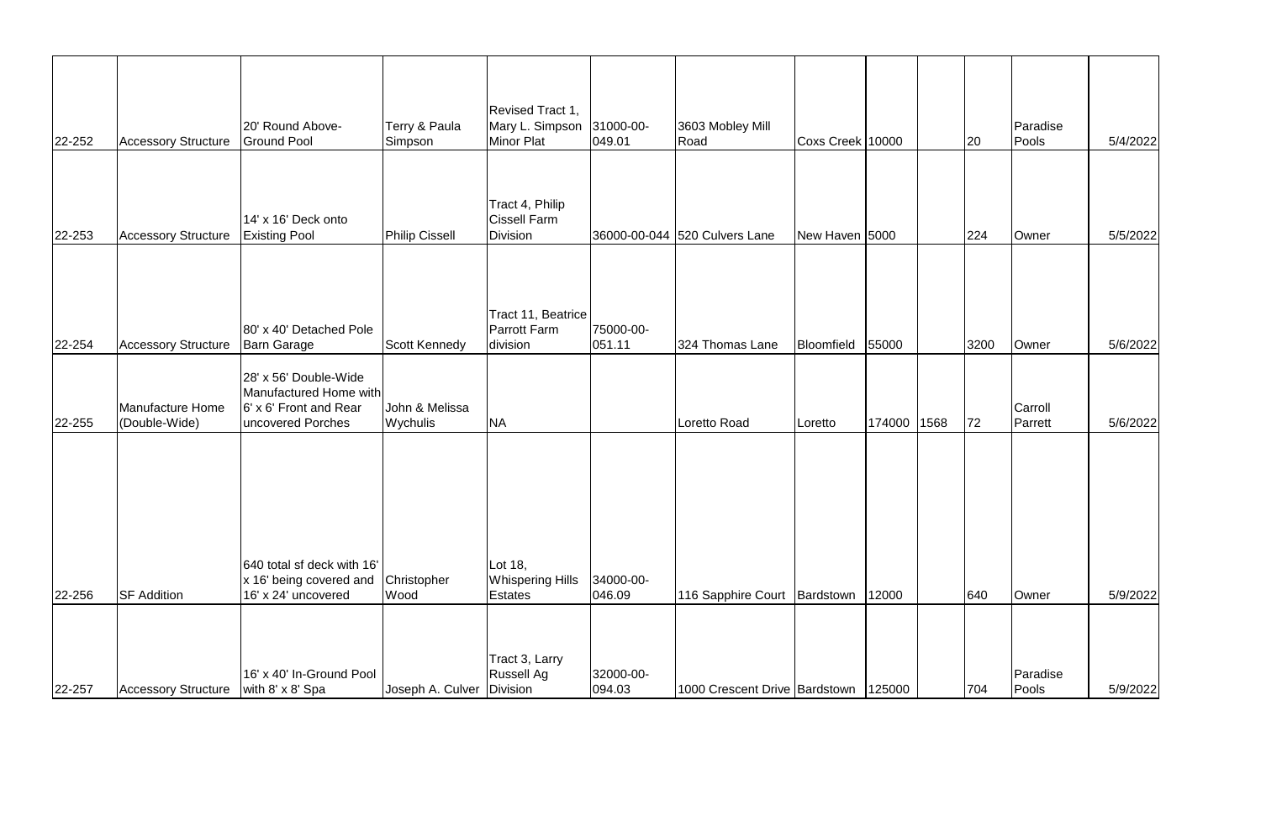|        |                                   | 20' Round Above-                                                                               | Terry & Paula               | Revised Tract 1,<br>Mary L. Simpson                       | 31000-00-            | 3603 Mobley Mill                       |                  |             |      | Paradise           |          |
|--------|-----------------------------------|------------------------------------------------------------------------------------------------|-----------------------------|-----------------------------------------------------------|----------------------|----------------------------------------|------------------|-------------|------|--------------------|----------|
| 22-252 | <b>Accessory Structure</b>        | <b>Ground Pool</b>                                                                             | Simpson                     | <b>Minor Plat</b>                                         | [049.01]             | Road                                   | Coxs Creek 10000 |             | 20   | Pools              | 5/4/2022 |
| 22-253 | <b>Accessory Structure</b>        | 14' x 16' Deck onto<br><b>Existing Pool</b>                                                    | Philip Cissell              | Tract 4, Philip<br><b>Cissell Farm</b><br><b>Division</b> |                      | 36000-00-044 520 Culvers Lane          | New Haven 5000   |             | 224  | Owner              | 5/5/2022 |
| 22-254 | <b>Accessory Structure</b>        | 80' x 40' Detached Pole<br><b>Barn Garage</b>                                                  | Scott Kennedy               | Tract 11, Beatrice<br><b>Parrott Farm</b><br>division     | 75000-00-<br> 051.11 | 324 Thomas Lane                        | Bloomfield       | 55000       | 3200 | Owner              | 5/6/2022 |
| 22-255 | Manufacture Home<br>(Double-Wide) | 28' x 56' Double-Wide<br>Manufactured Home with<br>6' x 6' Front and Rear<br>uncovered Porches | John & Melissa<br>Wychulis  | <b>NA</b>                                                 |                      | Loretto Road                           | Loretto          | 174000 1568 | 72   | Carroll<br>Parrett | 5/6/2022 |
| 22-256 | <b>SF Addition</b>                | 640 total sf deck with 16'<br>x 16' being covered and<br>16' x 24' uncovered                   | Christopher<br>Wood         | Lot 18,<br><b>Whispering Hills</b><br>Estates             | 34000-00-<br> 046.09 | 116 Sapphire Court   Bardstown         |                  | 12000       | 640  | Owner              | 5/9/2022 |
| 22-257 | <b>Accessory Structure</b>        | 16' x 40' In-Ground Pool<br>with $8' \times 8'$ Spa                                            | Joseph A. Culver   Division | Tract 3, Larry<br><b>Russell Ag</b>                       | 32000-00-<br>094.03  | 1000 Crescent Drive Bardstown   125000 |                  |             | 704  | Paradise<br>Pools  | 5/9/2022 |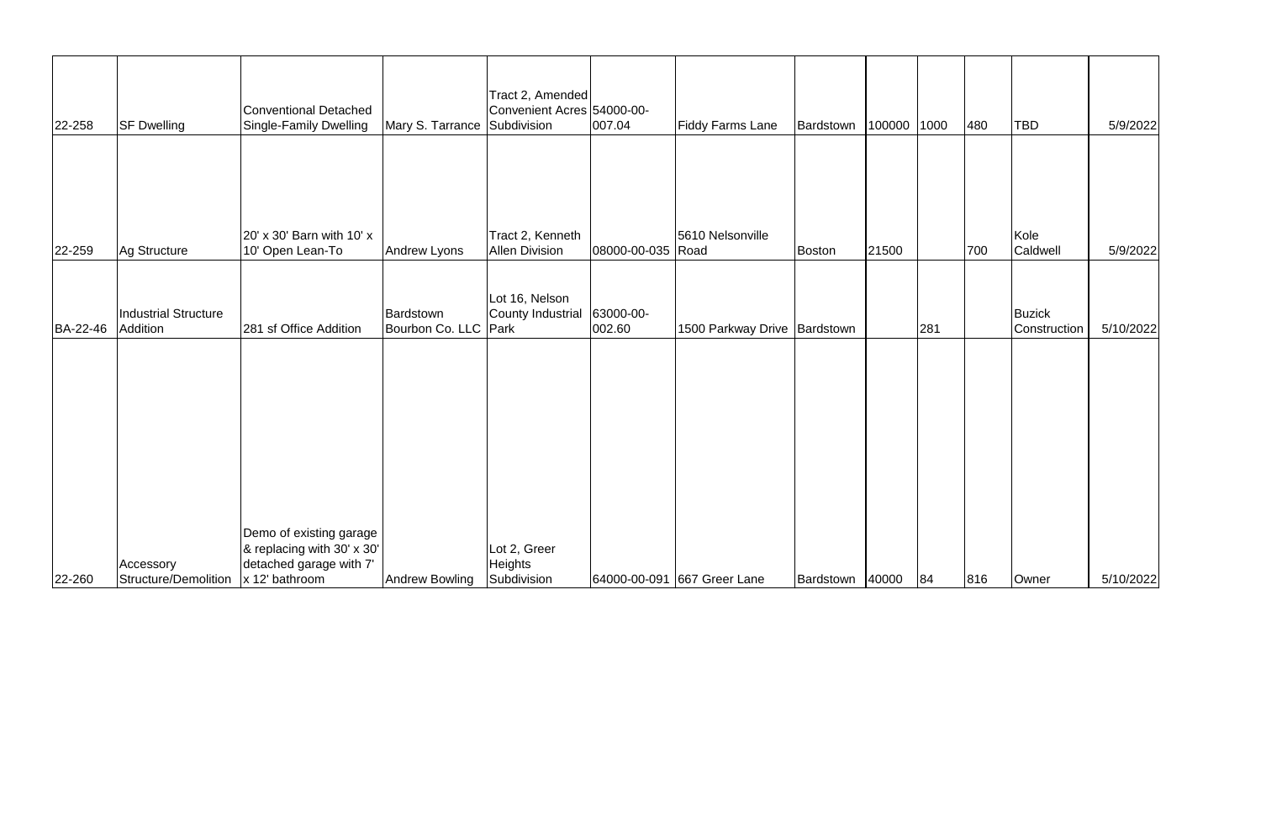| 22-258   | <b>SF Dwelling</b>                      | <b>Conventional Detached</b><br>Single-Family Dwelling                                               | Mary S. Tarrance Subdivision      | Tract 2, Amended<br>Convenient Acres 54000-00- | 007.04              | <b>Fiddy Farms Lane</b>      | Bardstown       | 100000 1000 |     | 480 | <b>TBD</b>             | 5/9/2022  |
|----------|-----------------------------------------|------------------------------------------------------------------------------------------------------|-----------------------------------|------------------------------------------------|---------------------|------------------------------|-----------------|-------------|-----|-----|------------------------|-----------|
|          |                                         | 20' x 30' Barn with 10' x                                                                            |                                   | Tract 2, Kenneth                               |                     | 5610 Nelsonville             |                 |             |     |     | Kole                   |           |
| 22-259   | Ag Structure                            | 10' Open Lean-To                                                                                     | Andrew Lyons                      | <b>Allen Division</b>                          | 08000-00-035 Road   |                              | <b>Boston</b>   | 21500       |     | 700 | Caldwell               | 5/9/2022  |
| BA-22-46 | <b>Industrial Structure</b><br>Addition | 281 sf Office Addition                                                                               | Bardstown<br>Bourbon Co. LLC Park | Lot 16, Nelson<br>County Industrial            | 63000-00-<br>002.60 | 1500 Parkway Drive Bardstown |                 |             | 281 |     | Buzick<br>Construction | 5/10/2022 |
|          |                                         |                                                                                                      |                                   |                                                |                     |                              |                 |             |     |     |                        |           |
| 22-260   | Accessory<br>Structure/Demolition       | Demo of existing garage<br>& replacing with 30' x 30'<br>detached garage with 7'<br>$x$ 12' bathroom | Andrew Bowling                    | Lot 2, Greer<br><b>Heights</b><br>Subdivision  |                     | 64000-00-091 667 Greer Lane  | Bardstown 40000 |             | 84  | 816 | Owner                  | 5/10/2022 |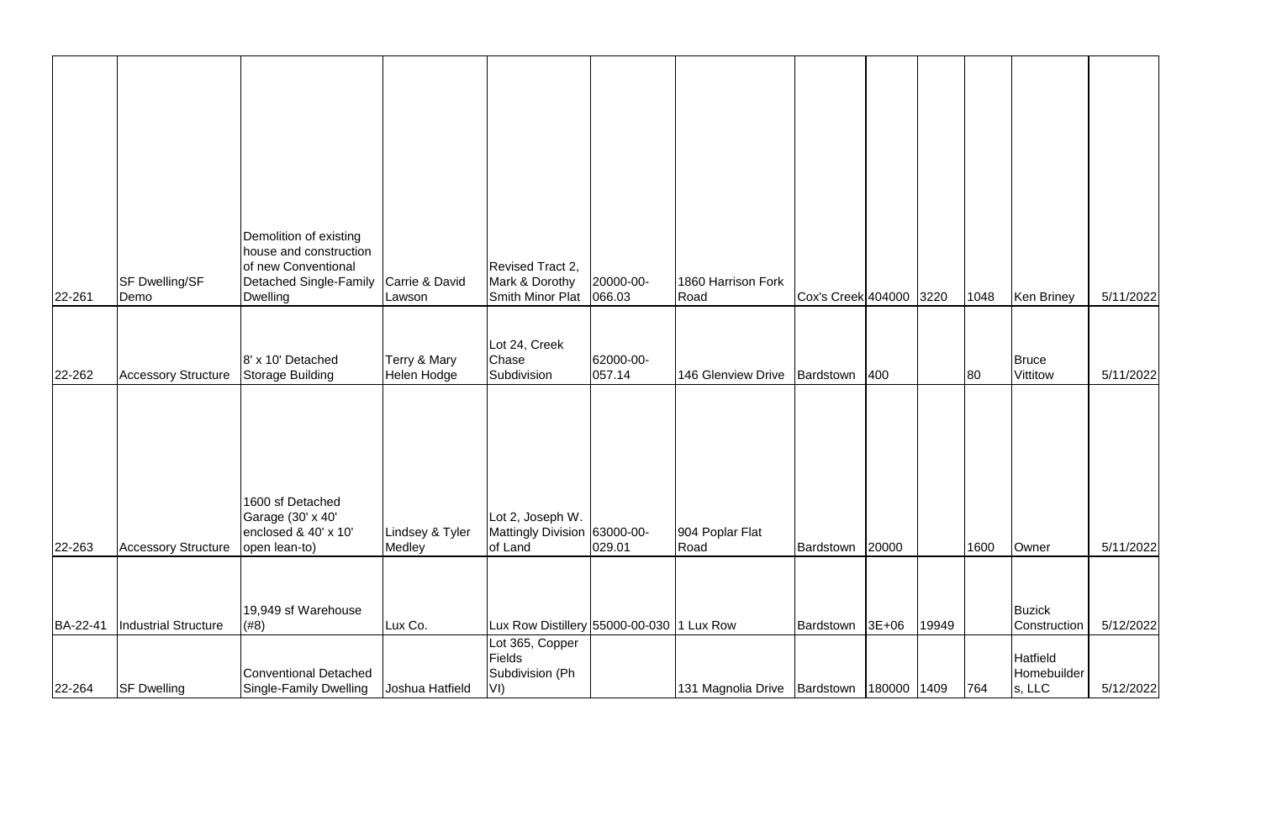|          | <b>SF Dwelling/SF</b><br>Demo | Demolition of existing<br>house and construction<br>of new Conventional<br>Detached Single-Family | Carrie & David              | Revised Tract 2,<br>Mark & Dorothy<br><b>Smith Minor Plat</b> | 20000-00-<br>066.03 | 1860 Harrison Fork<br>Road | Cox's Creek 404000 3220 |             |       | 1048 |                                          | 5/11/2022 |
|----------|-------------------------------|---------------------------------------------------------------------------------------------------|-----------------------------|---------------------------------------------------------------|---------------------|----------------------------|-------------------------|-------------|-------|------|------------------------------------------|-----------|
| 22-261   |                               | <b>Dwelling</b>                                                                                   | Lawson                      |                                                               |                     |                            |                         |             |       |      | Ken Briney                               |           |
| 22-262   | <b>Accessory Structure</b>    | 8' x 10' Detached<br>Storage Building                                                             | Terry & Mary<br>Helen Hodge | Lot 24, Creek<br>Chase<br>Subdivision                         | 62000-00-<br>057.14 | 146 Glenview Drive         | Bardstown 400           |             |       | 80   | Bruce<br>Vittitow                        | 5/11/2022 |
| 22-263   | <b>Accessory Structure</b>    | 1600 sf Detached<br>Garage (30' x 40'<br>enclosed & 40' x 10'<br>open lean-to)                    | Lindsey & Tyler<br>Medley   | Lot 2, Joseph W.<br>Mattingly Division 63000-00-<br>of Land   | 029.01              | 904 Poplar Flat<br>Road    | Bardstown               | 20000       |       | 1600 | Owner                                    | 5/11/2022 |
|          |                               |                                                                                                   |                             |                                                               |                     |                            |                         |             |       |      |                                          |           |
| BA-22-41 | Industrial Structure          | 19,949 sf Warehouse<br>(#8)                                                                       | Lux Co.                     | Lux Row Distillery 55000-00-030 1 Lux Row                     |                     |                            | Bardstown 3E+06         |             | 19949 |      | Buzick<br>Construction                   | 5/12/2022 |
| 22-264   | <b>SF Dwelling</b>            | Conventional Detached<br>Single-Family Dwelling                                                   | Joshua Hatfield             | Lot 365, Copper<br><b>Fields</b><br>Subdivision (Ph<br>VI)    |                     | 131 Magnolia Drive         | Bardstown               | 180000 1409 |       | 764  | <b>Hatfield</b><br>Homebuilder<br>s, LLC | 5/12/2022 |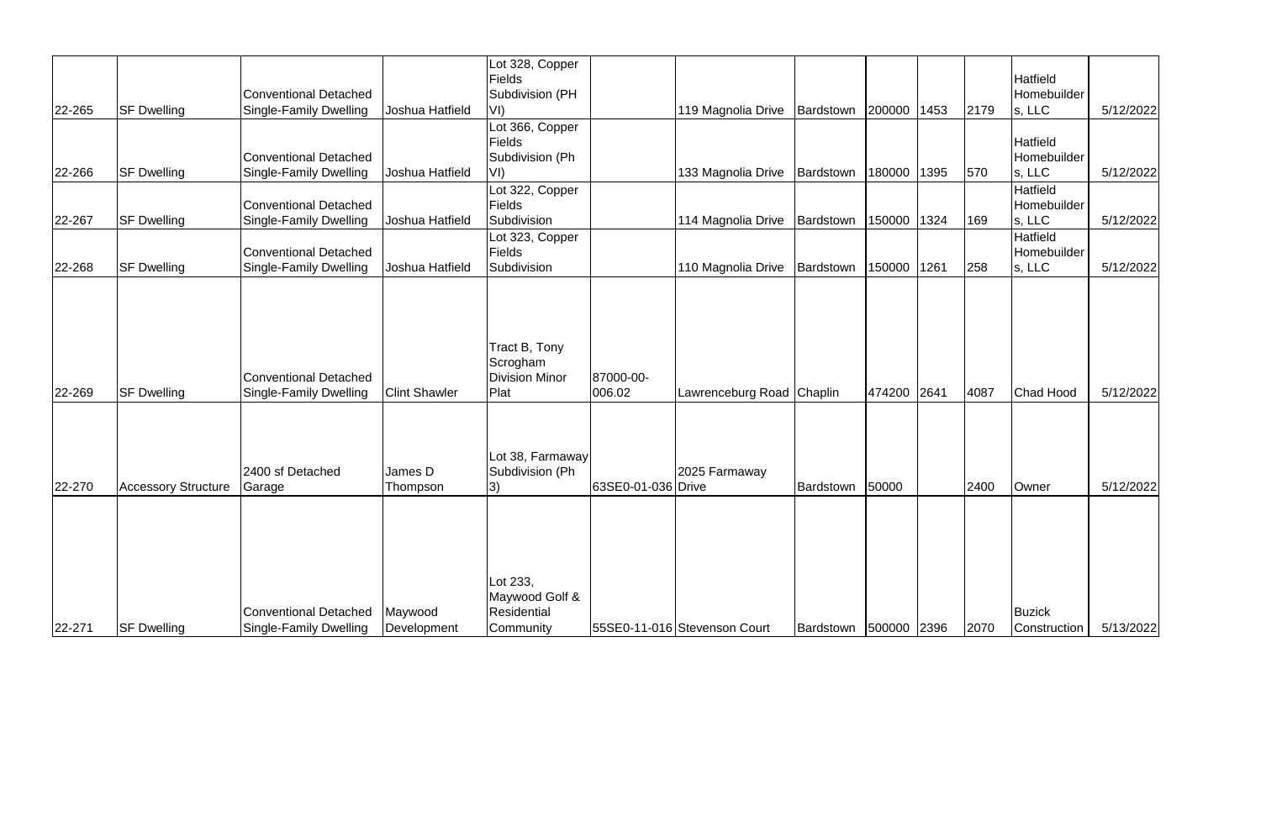|        |                            |                                                               |                        | Lot 328, Copper<br><b>Fields</b>                              |                     |                              |                       |             |      |      | Hatfield               |           |
|--------|----------------------------|---------------------------------------------------------------|------------------------|---------------------------------------------------------------|---------------------|------------------------------|-----------------------|-------------|------|------|------------------------|-----------|
|        |                            | <b>Conventional Detached</b>                                  |                        | Subdivision (PH                                               |                     |                              |                       |             |      |      | Homebuilder            |           |
| 22-265 | <b>SF Dwelling</b>         | <b>Single-Family Dwelling</b>                                 | Joshua Hatfield        | VI)                                                           |                     | 119 Magnolia Drive           | Bardstown 200000 1453 |             |      | 2179 | s, LLC                 | 5/12/2022 |
|        |                            |                                                               |                        | Lot 366, Copper                                               |                     |                              |                       |             |      |      |                        |           |
|        |                            |                                                               |                        | <b>Fields</b>                                                 |                     |                              |                       |             |      |      | <b>Hatfield</b>        |           |
|        |                            | <b>Conventional Detached</b>                                  |                        | Subdivision (Ph                                               |                     |                              |                       |             |      |      | Homebuilder            |           |
| 22-266 | <b>SF Dwelling</b>         | <b>Single-Family Dwelling</b>                                 | Joshua Hatfield        | VI)                                                           |                     | 133 Magnolia Drive           | Bardstown             | 180000      | 1395 | 570  | s, LLC                 | 5/12/2022 |
|        |                            |                                                               |                        | Lot 322, Copper                                               |                     |                              |                       |             |      |      | <b>Hatfield</b>        |           |
|        |                            | Conventional Detached                                         |                        | <b>Fields</b>                                                 |                     |                              |                       |             |      |      | Homebuilder            |           |
| 22-267 | <b>SF Dwelling</b>         | <b>Single-Family Dwelling</b>                                 | Joshua Hatfield        | Subdivision                                                   |                     | 114 Magnolia Drive           | Bardstown             | 150000 1324 |      | 169  | s, LLC                 | 5/12/2022 |
|        |                            |                                                               |                        | Lot 323, Copper                                               |                     |                              |                       |             |      |      | Hatfield               |           |
|        |                            | <b>Conventional Detached</b>                                  |                        | <b>Fields</b>                                                 |                     |                              |                       |             |      |      | Homebuilder            |           |
| 22-268 | <b>SF Dwelling</b>         | <b>Single-Family Dwelling</b>                                 | Joshua Hatfield        | Subdivision                                                   |                     | 110 Magnolia Drive           | Bardstown             | 150000 1261 |      | 258  | s, LLC                 | 5/12/2022 |
| 22-269 | <b>SF Dwelling</b>         | <b>Conventional Detached</b><br><b>Single-Family Dwelling</b> | <b>Clint Shawler</b>   | Tract B, Tony<br>Scrogham<br><b>Division Minor</b><br>Plat    | 87000-00-<br>006.02 | Lawrenceburg Road Chaplin    |                       | 474200 2641 |      | 4087 | Chad Hood              | 5/12/2022 |
| 22-270 | <b>Accessory Structure</b> | 2400 sf Detached<br>Garage                                    | James D<br>Thompson    | Lot 38, Farmaway<br>Subdivision (Ph<br>3)                     | 63SE0-01-036 Drive  | 2025 Farmaway                | Bardstown             | 50000       |      | 2400 | Owner                  | 5/12/2022 |
| 22-271 | <b>SF Dwelling</b>         | Conventional Detached<br>Single-Family Dwelling               | Maywood<br>Development | Lot 233,<br>Maywood Golf &<br><b>Residential</b><br>Community |                     | 55SE0-11-016 Stevenson Court | Bardstown 500000 2396 |             |      | 2070 | Buzick<br>Construction | 5/13/2022 |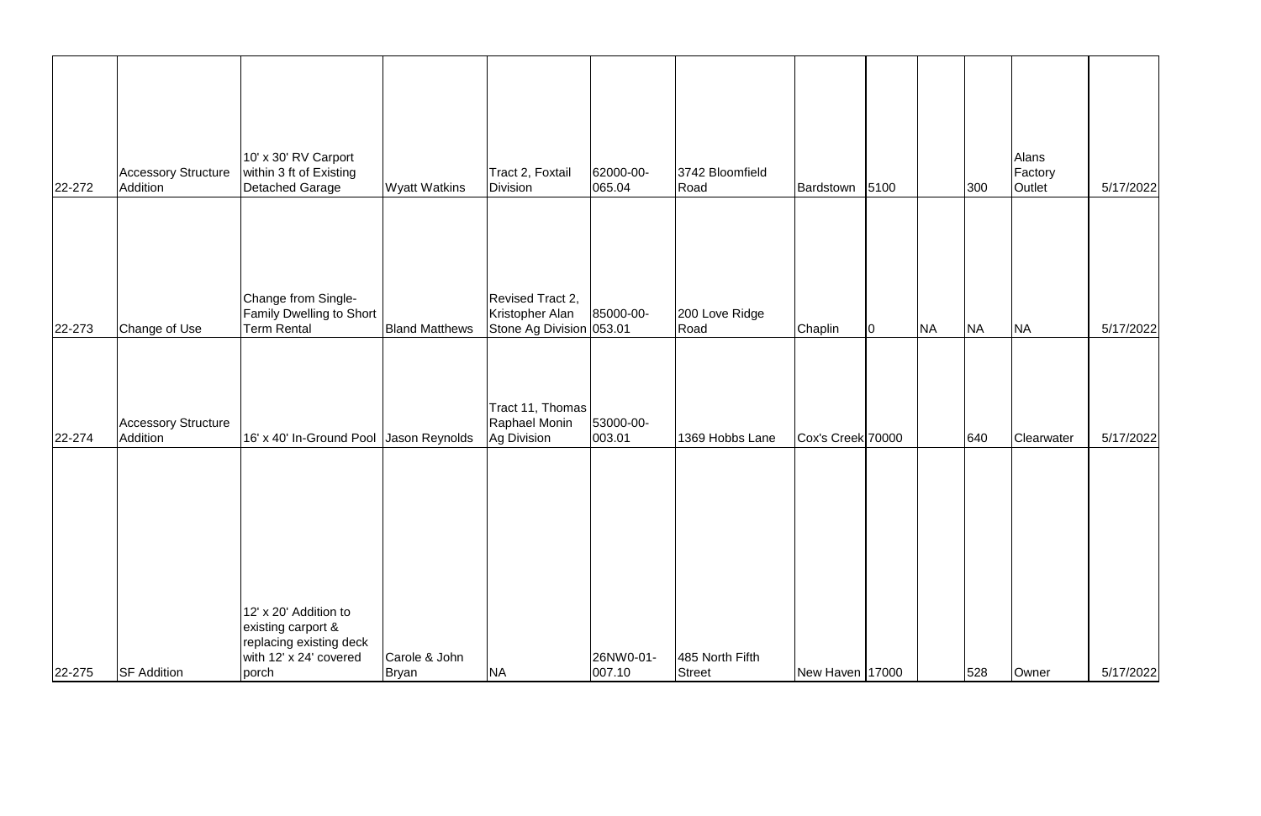| 22-272 | <b>Accessory Structure</b><br>Addition | 10' x 30' RV Carport<br>within 3 ft of Existing<br>Detached Garage               | <b>Wyatt Watkins</b>   | Tract 2, Foxtail<br><b>Division</b>                             | 62000-00-<br>065.04 | 3742 Bloomfield<br>Road          | Bardstown 5100    |    |           | 300       | Alans<br>Factory<br>Outlet | 5/17/2022 |
|--------|----------------------------------------|----------------------------------------------------------------------------------|------------------------|-----------------------------------------------------------------|---------------------|----------------------------------|-------------------|----|-----------|-----------|----------------------------|-----------|
| 22-273 | Change of Use                          | Change from Single-<br><b>Family Dwelling to Short</b><br><b>Term Rental</b>     | <b>Bland Matthews</b>  | Revised Tract 2,<br>Kristopher Alan<br>Stone Ag Division 053.01 | 85000-00-           | 200 Love Ridge<br>Road           | Chaplin           | 10 | <b>NA</b> | <b>NA</b> | <b>NA</b>                  | 5/17/2022 |
| 22-274 | <b>Accessory Structure</b><br>Addition | 16' x 40' In-Ground Pool Jason Reynolds                                          |                        | Tract 11, Thomas<br>Raphael Monin<br>Ag Division                | 53000-00-<br>003.01 | 1369 Hobbs Lane                  | Cox's Creek 70000 |    |           | 640       | Clearwater                 | 5/17/2022 |
|        |                                        | 12' x 20' Addition to                                                            |                        |                                                                 |                     |                                  |                   |    |           |           |                            |           |
| 22-275 | <b>SF Addition</b>                     | existing carport &<br>replacing existing deck<br>with 12' x 24' covered<br>porch | Carole & John<br>Bryan | <b>NA</b>                                                       | 26NW0-01-<br>007.10 | 485 North Fifth<br><b>Street</b> | New Haven 17000   |    |           | 528       | Owner                      | 5/17/2022 |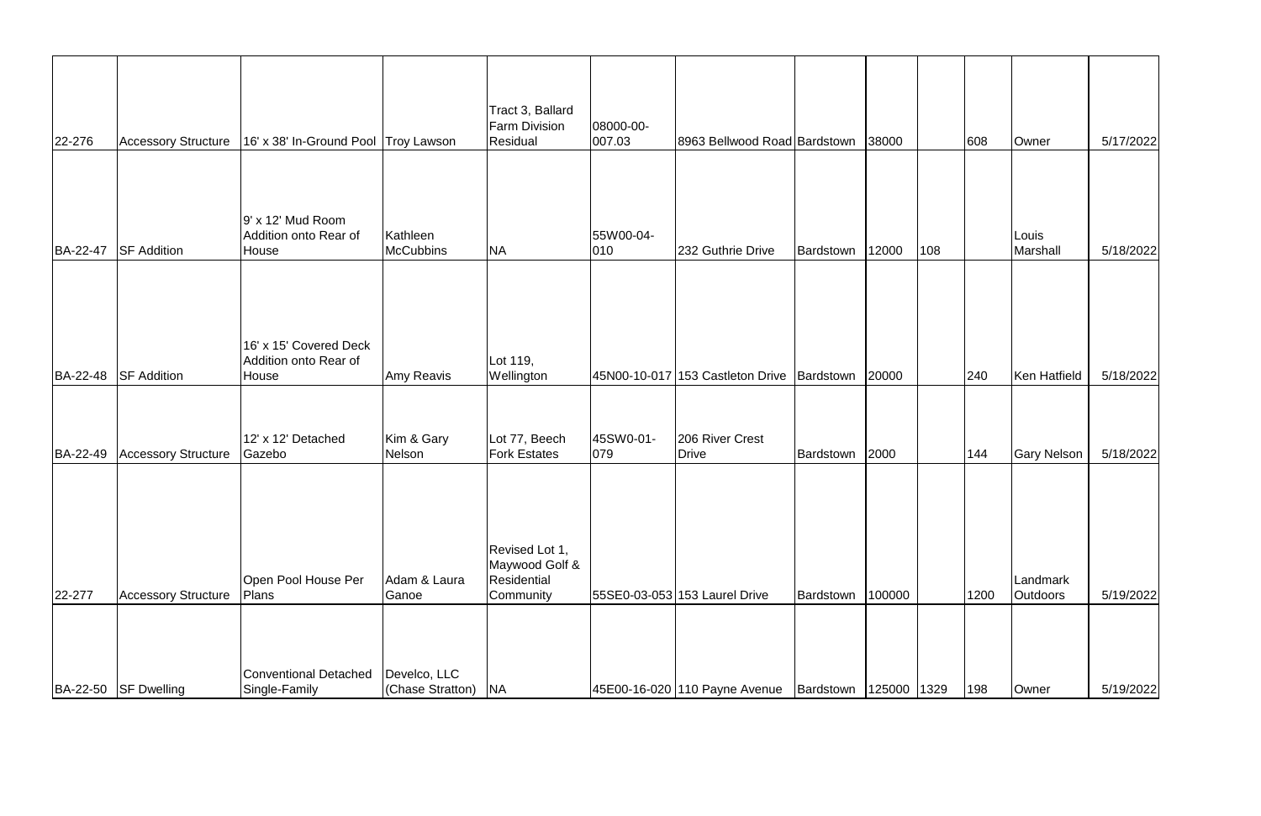| 22-276 | <b>Accessory Structure</b>   | 16' x 38' In-Ground Pool Troy Lawson                     |                                  | Tract 3, Ballard<br><b>Farm Division</b><br>Residual         | 08000-00-<br> 007.03       | 8963 Bellwood Road Bardstown               |                           | 38000  |     | 608  | Owner                       | 5/17/2022 |
|--------|------------------------------|----------------------------------------------------------|----------------------------------|--------------------------------------------------------------|----------------------------|--------------------------------------------|---------------------------|--------|-----|------|-----------------------------|-----------|
|        |                              |                                                          |                                  |                                                              |                            |                                            |                           |        |     |      |                             |           |
|        | BA-22-47 SF Addition         | $9'$ x 12' Mud Room<br>Addition onto Rear of<br>House    | Kathleen<br><b>McCubbins</b>     | <b>NA</b>                                                    | 55W00-04-<br>$ 010\rangle$ | 232 Guthrie Drive                          | Bardstown                 | 12000  | 108 |      | Louis<br>Marshall           | 5/18/2022 |
|        | BA-22-48 SF Addition         | 16' x 15' Covered Deck<br>Addition onto Rear of<br>House | Amy Reavis                       | Lot 119,<br>Wellington                                       |                            | 45N00-10-017 153 Castleton Drive Bardstown |                           | 20000  |     | 240  | Ken Hatfield                | 5/18/2022 |
|        | BA-22-49 Accessory Structure | 12' x 12' Detached<br>Gazebo                             | Kim & Gary<br>Nelson             | Lot 77, Beech<br><b>Fork Estates</b>                         | 45SW0-01-<br>$ 079\rangle$ | 206 River Crest<br><b>Drive</b>            | Bardstown 2000            |        |     | 144  | <b>Gary Nelson</b>          | 5/18/2022 |
| 22-277 | <b>Accessory Structure</b>   | Open Pool House Per<br>Plans                             | Adam & Laura<br>Ganoe            | Revised Lot 1,<br>Maywood Golf &<br>Residential<br>Community |                            | 55SE0-03-053 153 Laurel Drive              | Bardstown                 | 100000 |     | 1200 | Landmark<br><b>Outdoors</b> | 5/19/2022 |
|        | BA-22-50 SF Dwelling         | Conventional Detached<br>Single-Family                   | Develco, LLC<br>(Chase Stratton) | <b>NA</b>                                                    |                            | 45E00-16-020 110 Payne Avenue              | Bardstown   125000   1329 |        |     | 198  | Owner                       | 5/19/2022 |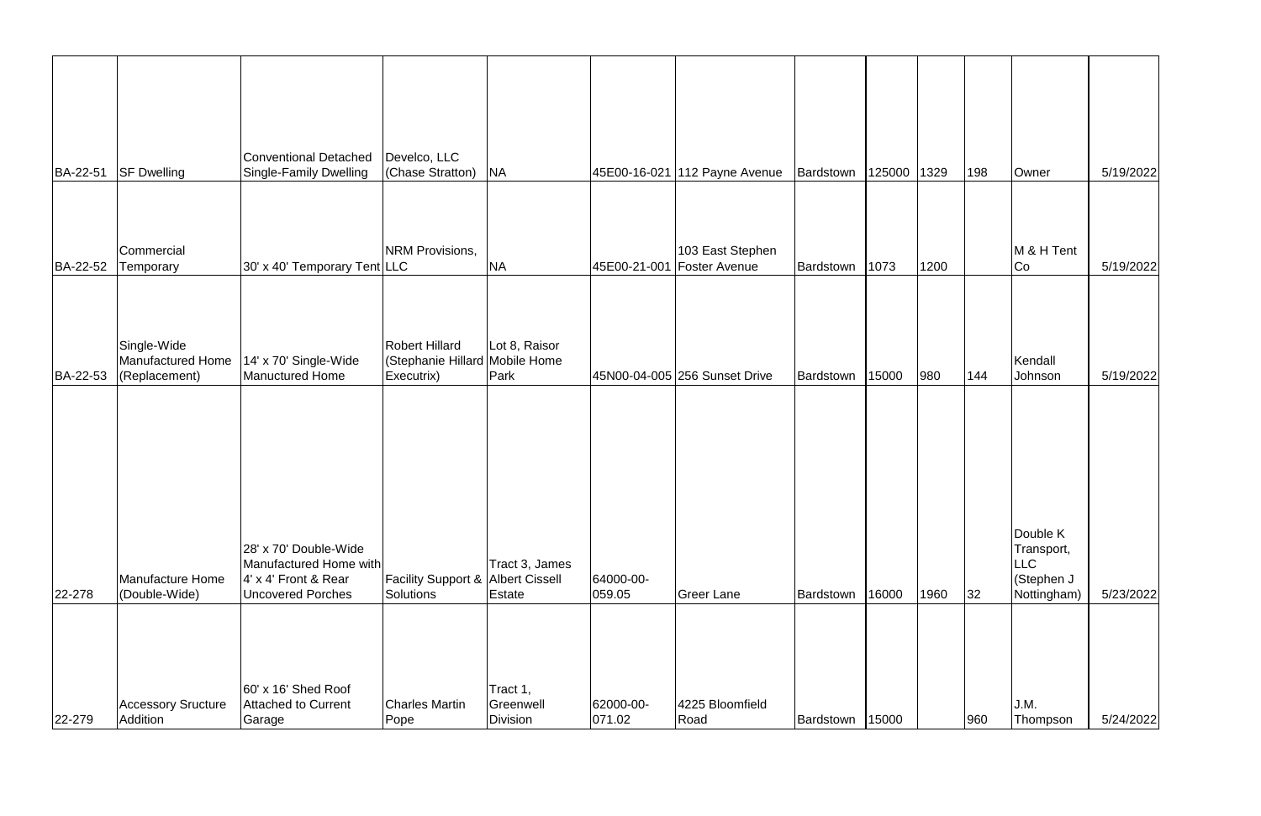| BA-22-51 | <b>SF Dwelling</b>                                | <b>Conventional Detached</b><br><b>Single-Family Dwelling</b>                                              | Develco, LLC<br>(Chase Stratton)                                      | <b>NA</b>                       |                     | 45E00-16-021 112 Payne Avenue                    | Bardstown | 125000 | 1329 | 198 | Owner                                                      | 5/19/2022 |
|----------|---------------------------------------------------|------------------------------------------------------------------------------------------------------------|-----------------------------------------------------------------------|---------------------------------|---------------------|--------------------------------------------------|-----------|--------|------|-----|------------------------------------------------------------|-----------|
|          |                                                   |                                                                                                            |                                                                       |                                 |                     |                                                  |           |        |      |     |                                                            |           |
| BA-22-52 | Commercial<br>Temporary                           | 30' x 40' Temporary Tent LLC                                                                               | NRM Provisions,                                                       | <b>NA</b>                       |                     | 103 East Stephen<br>45E00-21-001   Foster Avenue | Bardstown | 1073   | 1200 |     | M & H Tent<br>Co                                           | 5/19/2022 |
| BA-22-53 | Single-Wide<br>Manufactured Home<br>(Replacement) | 14' x 70' Single-Wide<br>Manuctured Home                                                                   | <b>Robert Hillard</b><br>(Stephanie Hillard Mobile Home<br>Executrix) | Lot 8, Raisor<br>Park           |                     | 45N00-04-005 256 Sunset Drive                    | Bardstown | 15000  | 980  | 144 | Kendall<br>Johnson                                         | 5/19/2022 |
|          |                                                   |                                                                                                            |                                                                       |                                 |                     |                                                  |           |        |      |     |                                                            |           |
| 22-278   | <b>Manufacture Home</b><br>(Double-Wide)          | 28' x 70' Double-Wide<br>Manufactured Home with<br>$4' \times 4'$ Front & Rear<br><b>Uncovered Porches</b> | <b>Facility Support &amp; Albert Cissell</b><br>Solutions             | Tract 3, James<br><b>Estate</b> | 64000-00-<br>059.05 | <b>Greer Lane</b>                                | Bardstown | 16000  | 1960 | 32  | Double K<br>Transport,<br>LLC<br>(Stephen J<br>Nottingham) | 5/23/2022 |
|          | <b>Accessory Sructure</b>                         | $ 60' \times 16'$ Shed Roof<br><b>Attached to Current</b>                                                  | Charles Martin                                                        | Tract 1,<br>Greenwell           | 62000-00-           | 4225 Bloomfield                                  |           |        |      |     | J.M.                                                       |           |
| 22-279   | Addition                                          | Garage                                                                                                     | Pope                                                                  | Division                        | 071.02              | Road                                             | Bardstown | 15000  |      | 960 | Thompson                                                   | 5/24/2022 |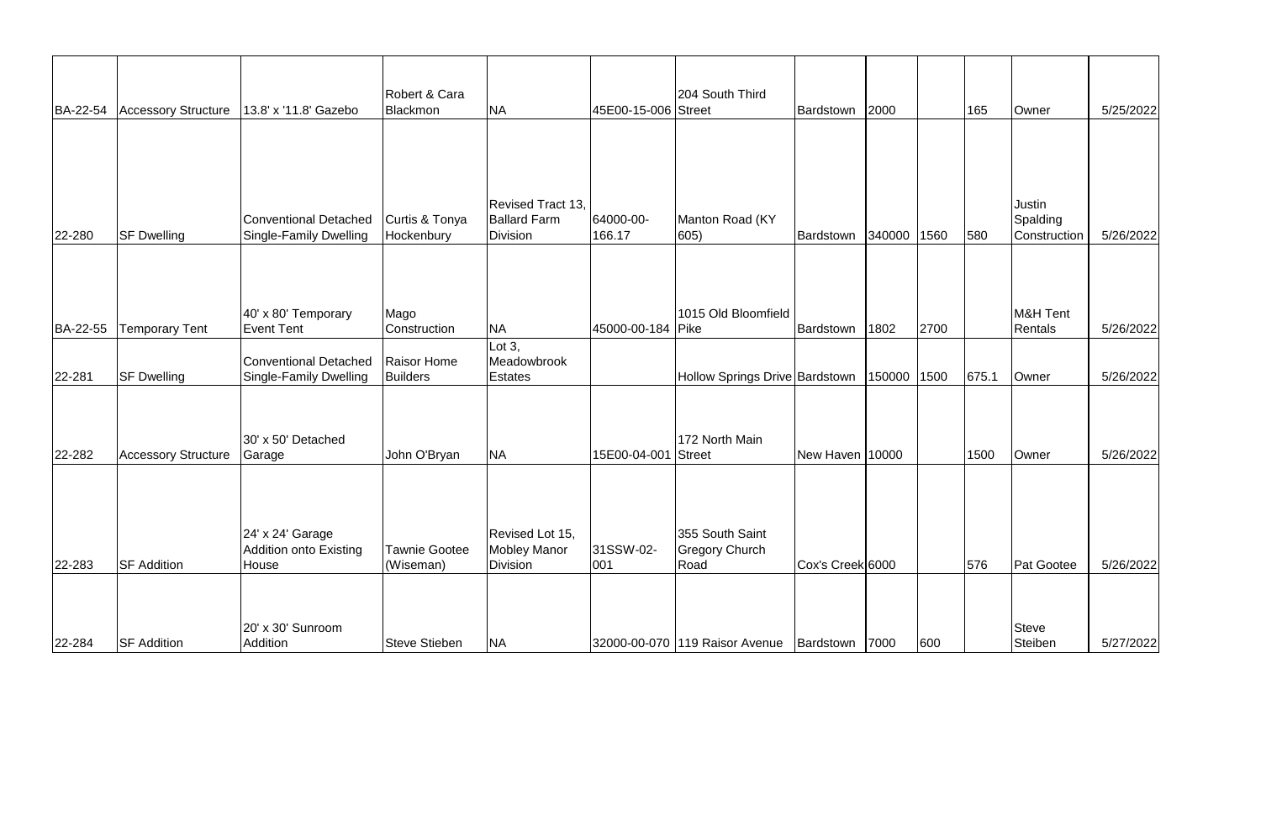| BA-22-54 | <b>Accessory Structure</b> | 13.8' x '11.8' Gazebo                                  | Robert & Cara<br>Blackmon    | <b>NA</b>                                            | 45E00-15-006 Street | 204 South Third                                   | Bardstown 2000   |        |      | 165   | Owner                              | 5/25/2022 |
|----------|----------------------------|--------------------------------------------------------|------------------------------|------------------------------------------------------|---------------------|---------------------------------------------------|------------------|--------|------|-------|------------------------------------|-----------|
|          |                            |                                                        |                              |                                                      |                     |                                                   |                  |        |      |       |                                    |           |
| 22-280   | <b>SF Dwelling</b>         | Conventional Detached<br><b>Single-Family Dwelling</b> | Curtis & Tonya<br>Hockenbury | Revised Tract 13,<br><b>Ballard Farm</b><br>Division | 64000-00-<br>166.17 | Manton Road (KY<br>605)                           | Bardstown        | 340000 | 1560 | 580   | Justin<br>Spalding<br>Construction | 5/26/2022 |
| BA-22-55 | <b>Temporary Tent</b>      | 40' x 80' Temporary<br><b>Event Tent</b>               | Mago<br>Construction         | <b>NA</b>                                            | 45000-00-184   Pike | 1015 Old Bloomfield                               | Bardstown        | 1802   | 2700 |       | M&H Tent<br>Rentals                | 5/26/2022 |
| 22-281   | <b>SF Dwelling</b>         | Conventional Detached<br><b>Single-Family Dwelling</b> | Raisor Home<br>Builders      | Lot $3$ ,<br>Meadowbrook<br><b>Estates</b>           |                     | Hollow Springs Drive Bardstown                    |                  | 150000 | 1500 | 675.1 | Owner                              | 5/26/2022 |
| 22-282   | <b>Accessory Structure</b> | 30' x 50' Detached<br>Garage                           | John O'Bryan                 | <b>NA</b>                                            | 15E00-04-001 Street | 172 North Main                                    | New Haven 10000  |        |      | 1500  | Owner                              | 5/26/2022 |
|          |                            | 24' x 24' Garage<br><b>Addition onto Existing</b>      | <b>Tawnie Gootee</b>         | Revised Lot 15,<br><b>Mobley Manor</b>               | 31SSW-02-           | 355 South Saint<br><b>Gregory Church</b>          |                  |        |      |       |                                    |           |
| 22-283   | <b>SF Addition</b>         | House                                                  | (Wiseman)                    | <b>Division</b>                                      | 001                 | Road                                              | Cox's Creek 6000 |        |      | 576   | Pat Gootee                         | 5/26/2022 |
| 22-284   | <b>SF Addition</b>         | 20' x 30' Sunroom<br>Addition                          | Steve Stieben                | <b>NA</b>                                            |                     | 32000-00-070 119 Raisor Avenue   Bardstown   7000 |                  |        | 600  |       | Steve<br>Steiben                   | 5/27/2022 |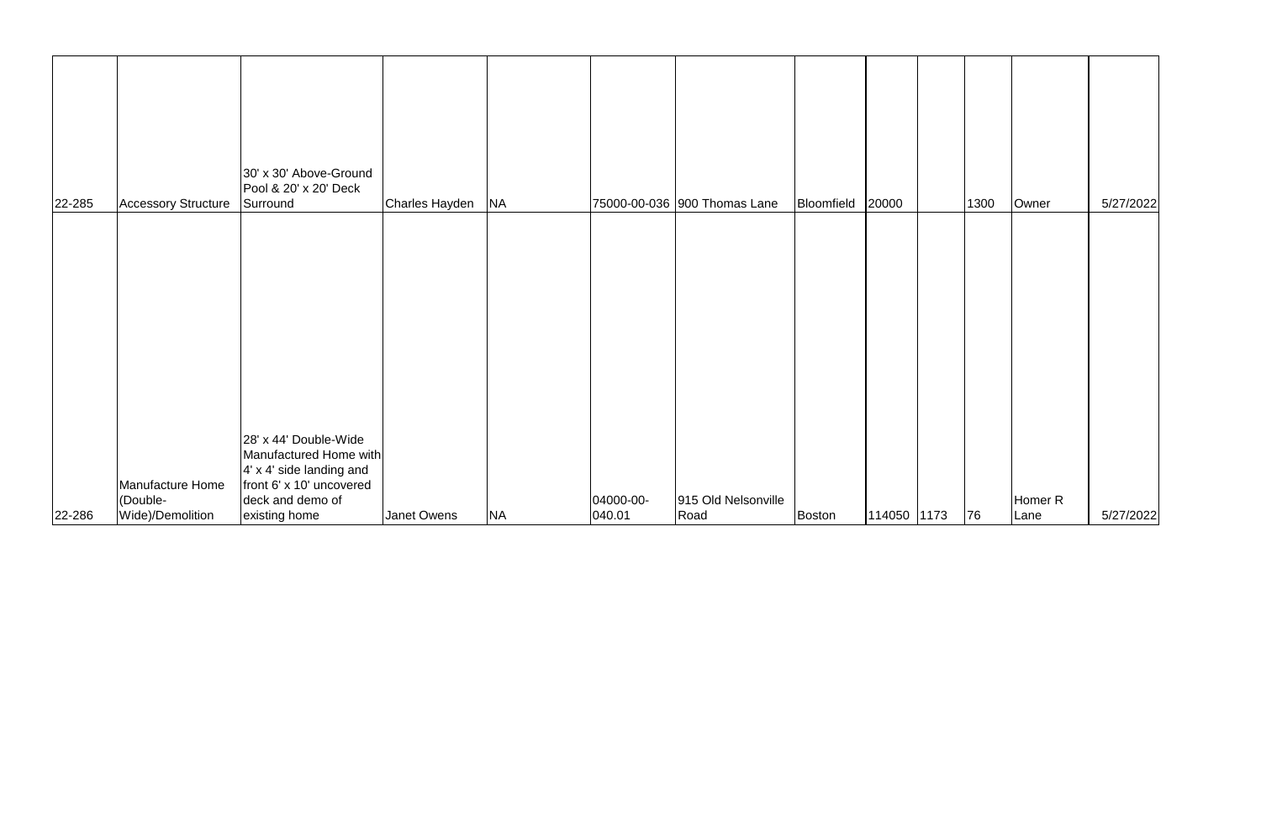|        |                              | 30' x 30' Above-Ground<br>Pool & 20' x 20' Deck                                                                               |                |           |           |                              |                  |             |      |                    |           |
|--------|------------------------------|-------------------------------------------------------------------------------------------------------------------------------|----------------|-----------|-----------|------------------------------|------------------|-------------|------|--------------------|-----------|
| 22-285 | <b>Accessory Structure</b>   | Surround                                                                                                                      | Charles Hayden | <b>NA</b> |           | 75000-00-036 900 Thomas Lane | Bloomfield 20000 |             | 1300 | Owner              | 5/27/2022 |
|        | Manufacture Home<br>(Double- | 28' x 44' Double-Wide<br>Manufactured Home with<br>$4'$ x 4' side landing and<br>front 6' x 10' uncovered<br>deck and demo of |                |           | 04000-00- | 915 Old Nelsonville          |                  |             |      | Homer <sub>R</sub> |           |
| 22-286 | Wide)/Demolition             | existing home                                                                                                                 | Janet Owens    | <b>NA</b> | 040.01    | Road                         | Boston           | 114050 1173 | 76   | Lane               | 5/27/2022 |
|        |                              |                                                                                                                               |                |           |           |                              |                  |             |      |                    |           |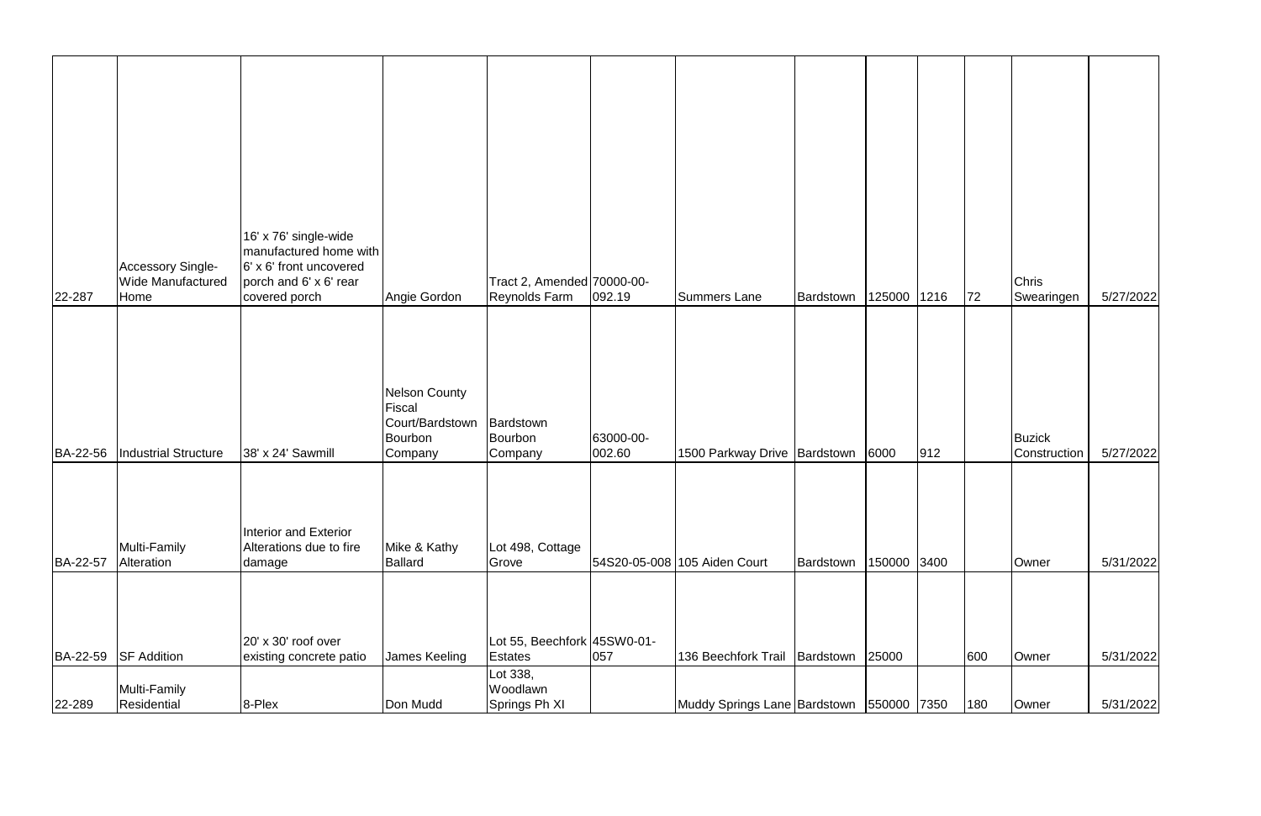|          | <b>Accessory Single-</b>         | 16' x 76' single-wide<br>manufactured home with<br>6' x 6' front uncovered |                                                                         |                                               |                     |                                              |           |             |     |     |                            |           |
|----------|----------------------------------|----------------------------------------------------------------------------|-------------------------------------------------------------------------|-----------------------------------------------|---------------------|----------------------------------------------|-----------|-------------|-----|-----|----------------------------|-----------|
| 22-287   | <b>Wide Manufactured</b><br>Home | porch and 6' x 6' rear<br>covered porch                                    | Angie Gordon                                                            | Tract 2, Amended 70000-00-<br>Reynolds Farm   | 092.19              | <b>Summers Lane</b>                          | Bardstown | 125000 1216 |     | 72  | <b>Chris</b><br>Swearingen | 5/27/2022 |
| BA-22-56 | Industrial Structure             | 38' x 24' Sawmill                                                          | <b>Nelson County</b><br>Fiscal<br>Court/Bardstown<br>Bourbon<br>Company | Bardstown<br>Bourbon<br>Company               | 63000-00-<br>002.60 | 1500 Parkway Drive   Bardstown               |           | 6000        | 912 |     | Buzick<br>Construction     | 5/27/2022 |
| BA-22-57 | Multi-Family<br>Alteration       | Interior and Exterior<br>Alterations due to fire<br>damage                 | Mike & Kathy<br><b>Ballard</b>                                          | Lot 498, Cottage<br>Grove                     |                     | 54S20-05-008 105 Aiden Court                 | Bardstown | 150000 3400 |     |     | Owner                      | 5/31/2022 |
| BA-22-59 | <b>SF Addition</b>               | 20' x 30' roof over<br>existing concrete patio                             | James Keeling                                                           | Lot 55, Beechfork 45SW0-01-<br><b>Estates</b> | 057                 | 136 Beechfork Trail   Bardstown              |           | 25000       |     | 600 | Owner                      | 5/31/2022 |
| 22-289   | Multi-Family<br>Residential      | 8-Plex                                                                     | Don Mudd                                                                | Lot 338,<br>Woodlawn<br>Springs Ph XI         |                     | Muddy Springs Lane Bardstown   550000   7350 |           |             |     | 180 | Owner                      | 5/31/2022 |